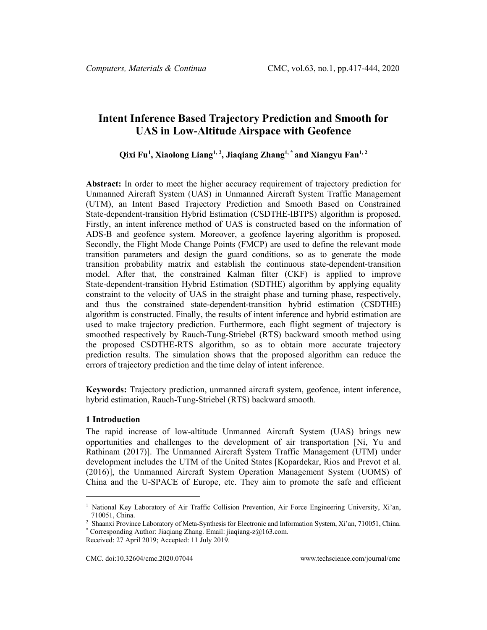# **Intent Inference Based Trajectory Prediction and Smooth for UAS in Low-Altitude Airspace with Geofence**

**Qixi F[u1](#page-0-0) , Xiaolong Liang1, [2](#page-0-1) , Jiaqiang Zhang1, \* and Xiangyu Fan1, <sup>2</sup>**

**Abstract:** In order to meet the higher accuracy requirement of trajectory prediction for Unmanned Aircraft System (UAS) in Unmanned Aircraft System Traffic Management (UTM), an Intent Based Trajectory Prediction and Smooth Based on Constrained State-dependent-transition Hybrid Estimation (CSDTHE-IBTPS) algorithm is proposed. Firstly, an intent inference method of UAS is constructed based on the information of ADS-B and geofence system. Moreover, a geofence layering algorithm is proposed. Secondly, the Flight Mode Change Points (FMCP) are used to define the relevant mode transition parameters and design the guard conditions, so as to generate the mode transition probability matrix and establish the continuous state-dependent-transition model. After that, the constrained Kalman filter (CKF) is applied to improve State-dependent-transition Hybrid Estimation (SDTHE) algorithm by applying equality constraint to the velocity of UAS in the straight phase and turning phase, respectively, and thus the constrained state-dependent-transition hybrid estimation (CSDTHE) algorithm is constructed. Finally, the results of intent inference and hybrid estimation are used to make trajectory prediction. Furthermore, each flight segment of trajectory is smoothed respectively by Rauch-Tung-Striebel (RTS) backward smooth method using the proposed CSDTHE-RTS algorithm, so as to obtain more accurate trajectory prediction results. The simulation shows that the proposed algorithm can reduce the errors of trajectory prediction and the time delay of intent inference.

**Keywords:** Trajectory prediction, unmanned aircraft system, geofence, intent inference, hybrid estimation, Rauch-Tung-Striebel (RTS) backward smooth.

## **1 Introduction**

The rapid increase of low-altitude Unmanned Aircraft System (UAS) brings new opportunities and challenges to the development of air transportation [Ni, Yu and Rathinam (2017)]. The Unmanned Aircraft System Traffic Management (UTM) under development includes the UTM of the United States [Kopardekar, Rios and Prevot et al. (2016)], the Unmanned Aircraft System Operation Management System (UOMS) of China and the U-SPACE of Europe, etc. They aim to promote the safe and efficient

Received: 27 April 2019; Accepted: 11 July 2019.

<span id="page-0-0"></span><sup>&</sup>lt;sup>1</sup> National Key Laboratory of Air Traffic Collision Prevention, Air Force Engineering University, Xi'an, 710051, China.

<span id="page-0-1"></span><sup>2</sup> Shaanxi Province Laboratory of Meta-Synthesis for Electronic and Information System, Xi'an, 710051, China. \* Corresponding Author: Jiaqiang Zhang. Email: jiaqiang-z@163.com.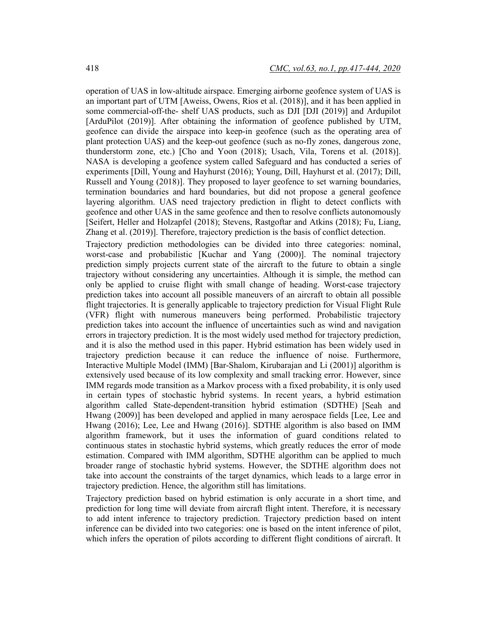operation of UAS in low-altitude airspace. Emerging airborne geofence system of UAS is an important part of UTM [Aweiss, Owens, Rios et al. (2018)], and it has been applied in some commercial-off-the- shelf UAS products, such as DJI [DJI (2019)] and Ardupilot [ArduPilot (2019)]. After obtaining the information of geofence published by UTM, geofence can divide the airspace into keep-in geofence (such as the operating area of plant protection UAS) and the keep-out geofence (such as no-fly zones, dangerous zone, thunderstorm zone, etc.) [Cho and Yoon (2018); Usach, Vila, Torens et al. (2018)]. NASA is developing a geofence system called Safeguard and has conducted a series of experiments [Dill, Young and Hayhurst (2016); Young, Dill, Hayhurst et al. (2017); Dill, Russell and Young (2018)]. They proposed to layer geofence to set warning boundaries, termination boundaries and hard boundaries, but did not propose a general geofence layering algorithm. UAS need trajectory prediction in flight to detect conflicts with geofence and other UAS in the same geofence and then to resolve conflicts autonomously [Seifert, Heller and Holzapfel (2018); Stevens, Rastgoftar and Atkins (2018); Fu, Liang, Zhang et al. (2019)]. Therefore, trajectory prediction is the basis of conflict detection.

Trajectory prediction methodologies can be divided into three categories: nominal, worst-case and probabilistic [Kuchar and Yang (2000)]. The nominal trajectory prediction simply projects current state of the aircraft to the future to obtain a single trajectory without considering any uncertainties. Although it is simple, the method can only be applied to cruise flight with small change of heading. Worst-case trajectory prediction takes into account all possible maneuvers of an aircraft to obtain all possible flight trajectories. It is generally applicable to trajectory prediction for Visual Flight Rule (VFR) flight with numerous maneuvers being performed. Probabilistic trajectory prediction takes into account the influence of uncertainties such as wind and navigation errors in trajectory prediction. It is the most widely used method for trajectory prediction, and it is also the method used in this paper. Hybrid estimation has been widely used in trajectory prediction because it can reduce the influence of noise. Furthermore, Interactive Multiple Model (IMM) [Bar-Shalom, Kirubarajan and Li (2001)] algorithm is extensively used because of its low complexity and small tracking error. However, since IMM regards mode transition as a Markov process with a fixed probability, it is only used in certain types of stochastic hybrid systems. In recent years, a hybrid estimation algorithm called State-dependent-transition hybrid estimation (SDTHE) [Seah and Hwang (2009)] has been developed and applied in many aerospace fields [Lee, Lee and Hwang (2016); Lee, Lee and Hwang (2016)]. SDTHE algorithm is also based on IMM algorithm framework, but it uses the information of guard conditions related to continuous states in stochastic hybrid systems, which greatly reduces the error of mode estimation. Compared with IMM algorithm, SDTHE algorithm can be applied to much broader range of stochastic hybrid systems. However, the SDTHE algorithm does not take into account the constraints of the target dynamics, which leads to a large error in trajectory prediction. Hence, the algorithm still has limitations.

Trajectory prediction based on hybrid estimation is only accurate in a short time, and prediction for long time will deviate from aircraft flight intent. Therefore, it is necessary to add intent inference to trajectory prediction. Trajectory prediction based on intent inference can be divided into two categories: one is based on the intent inference of pilot, which infers the operation of pilots according to different flight conditions of aircraft. It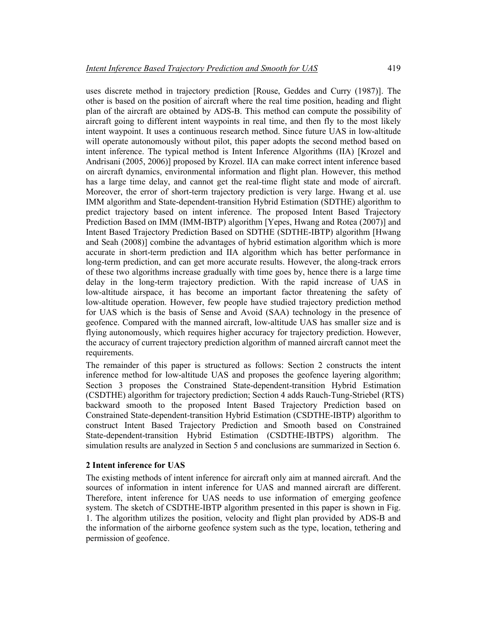uses discrete method in trajectory prediction [Rouse, Geddes and Curry (1987)]. The other is based on the position of aircraft where the real time position, heading and flight plan of the aircraft are obtained by ADS-B. This method can compute the possibility of aircraft going to different intent waypoints in real time, and then fly to the most likely intent waypoint. It uses a continuous research method. Since future UAS in low-altitude will operate autonomously without pilot, this paper adopts the second method based on intent inference. The typical method is Intent Inference Algorithms (IIA) [Krozel and Andrisani (2005, 2006)] proposed by Krozel. IIA can make correct intent inference based on aircraft dynamics, environmental information and flight plan. However, this method has a large time delay, and cannot get the real-time flight state and mode of aircraft. Moreover, the error of short-term trajectory prediction is very large. Hwang et al. use IMM algorithm and State-dependent-transition Hybrid Estimation (SDTHE) algorithm to predict trajectory based on intent inference. The proposed Intent Based Trajectory Prediction Based on IMM (IMM-IBTP) algorithm [Yepes, Hwang and Rotea (2007)] and Intent Based Trajectory Prediction Based on SDTHE (SDTHE-IBTP) algorithm [Hwang and Seah (2008)] combine the advantages of hybrid estimation algorithm which is more accurate in short-term prediction and IIA algorithm which has better performance in long-term prediction, and can get more accurate results. However, the along-track errors of these two algorithms increase gradually with time goes by, hence there is a large time delay in the long-term trajectory prediction. With the rapid increase of UAS in low-altitude airspace, it has become an important factor threatening the safety of low-altitude operation. However, few people have studied trajectory prediction method for UAS which is the basis of Sense and Avoid (SAA) technology in the presence of geofence. Compared with the manned aircraft, low-altitude UAS has smaller size and is flying autonomously, which requires higher accuracy for trajectory prediction. However, the accuracy of current trajectory prediction algorithm of manned aircraft cannot meet the requirements.

The remainder of this paper is structured as follows: Section 2 constructs the intent inference method for low-altitude UAS and proposes the geofence layering algorithm; Section 3 proposes the Constrained State-dependent-transition Hybrid Estimation (CSDTHE) algorithm for trajectory prediction; Section 4 adds Rauch-Tung-Striebel (RTS) backward smooth to the proposed Intent Based Trajectory Prediction based on Constrained State-dependent-transition Hybrid Estimation (CSDTHE-IBTP) algorithm to construct Intent Based Trajectory Prediction and Smooth based on Constrained State-dependent-transition Hybrid Estimation (CSDTHE-IBTPS) algorithm. The simulation results are analyzed in Section 5 and conclusions are summarized in Section 6.

#### **2 Intent inference for UAS**

The existing methods of intent inference for aircraft only aim at manned aircraft. And the sources of information in intent inference for UAS and manned aircraft are different. Therefore, intent inference for UAS needs to use information of emerging geofence system. The sketch of CSDTHE-IBTP algorithm presented in this paper is shown in Fig. 1. The algorithm utilizes the position, velocity and flight plan provided by ADS-B and the information of the airborne geofence system such as the type, location, tethering and permission of geofence.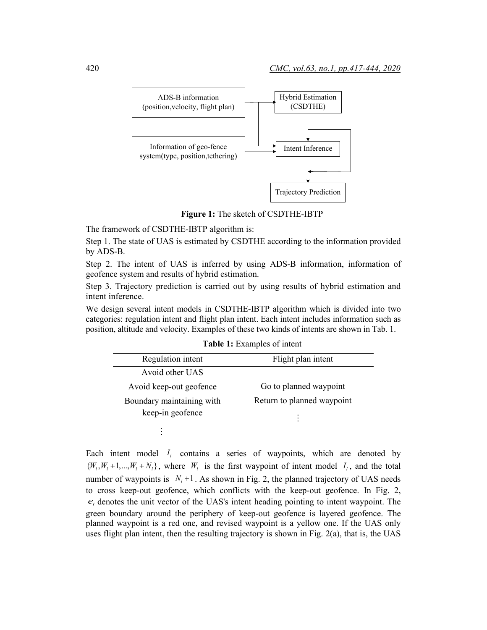

**Figure 1:** The sketch of CSDTHE-IBTP

The framework of CSDTHE-IBTP algorithm is:

Step 1. The state of UAS is estimated by CSDTHE according to the information provided by ADS-B.

Step 2. The intent of UAS is inferred by using ADS-B information, information of geofence system and results of hybrid estimation.

Step 3. Trajectory prediction is carried out by using results of hybrid estimation and intent inference.

We design several intent models in CSDTHE-IBTP algorithm which is divided into two categories: regulation intent and flight plan intent. Each intent includes information such as position, altitude and velocity. Examples of these two kinds of intents are shown in Tab. 1.

| Flight plan intent         |
|----------------------------|
|                            |
| Go to planned waypoint     |
| Return to planned waypoint |
|                            |
|                            |
|                            |

| <b>Table 1:</b> Examples of intent |
|------------------------------------|
|------------------------------------|

Each intent model  $I_i$  contains a series of waypoints, which are denoted by  $\{W_1, W_1 + 1, ..., W_i + N_i\}$ , where  $W_i$  is the first waypoint of intent model  $I_i$ , and the total number of waypoints is  $N_l + 1$ . As shown in Fig. 2, the planned trajectory of UAS needs to cross keep-out geofence, which conflicts with the keep-out geofence. In Fig. 2,  $e_l$  denotes the unit vector of the UAS's intent heading pointing to intent waypoint. The green boundary around the periphery of keep-out geofence is layered geofence. The planned waypoint is a red one, and revised waypoint is a yellow one. If the UAS only uses flight plan intent, then the resulting trajectory is shown in Fig.  $2(a)$ , that is, the UAS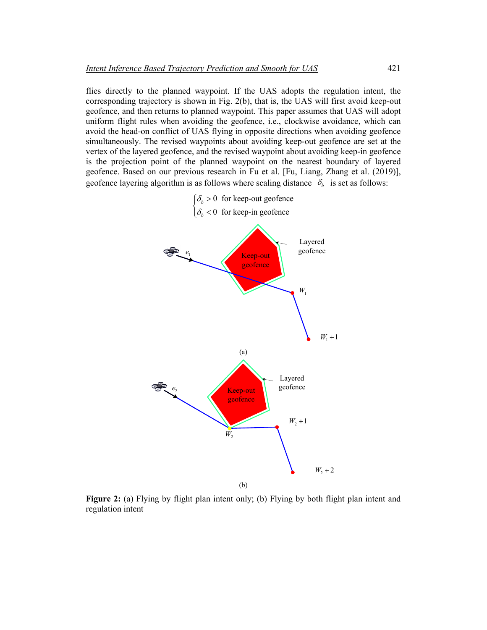flies directly to the planned waypoint. If the UAS adopts the regulation intent, the corresponding trajectory is shown in Fig. 2(b), that is, the UAS will first avoid keep-out geofence, and then returns to planned waypoint. This paper assumes that UAS will adopt uniform flight rules when avoiding the geofence, i.e., clockwise avoidance, which can avoid the head-on conflict of UAS flying in opposite directions when avoiding geofence simultaneously. The revised waypoints about avoiding keep-out geofence are set at the vertex of the layered geofence, and the revised waypoint about avoiding keep-in geofence is the projection point of the planned waypoint on the nearest boundary of layered geofence. Based on our previous research in Fu et al. [Fu, Liang, Zhang et al. (2019)], geofence layering algorithm is as follows where scaling distance  $\delta_b$  is set as follows:



Figure 2: (a) Flying by flight plan intent only; (b) Flying by both flight plan intent and regulation intent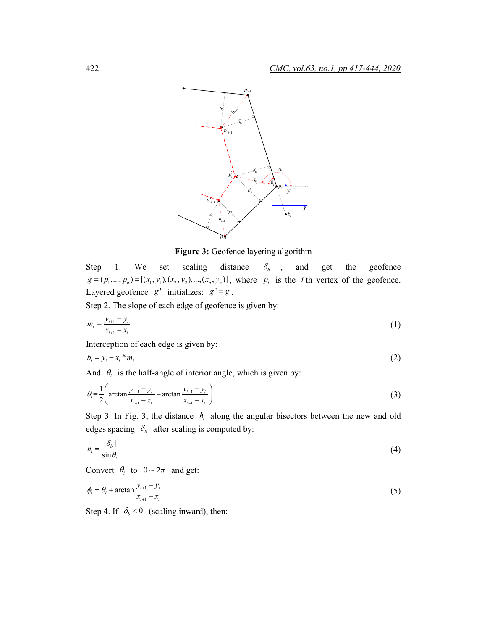

**Figure 3:** Geofence layering algorithm

Step 1. We set scaling distance  $\delta_b$ , and get the geofence  $g = (p_1, ..., p_n) = [(x_1, y_1), (x_2, y_2), ..., (x_n, y_n)]$ , where  $p_i$  is the *i*th vertex of the geofence. Layered geofence  $g'$  initializes:  $g' = g$ .

Step 2. The slope of each edge of geofence is given by:

$$
m_i = \frac{y_{i+1} - y_i}{x_{i+1} - x_i} \tag{1}
$$

Interception of each edge is given by:

$$
b_i = y_i - x_i^* m_i \tag{2}
$$

And  $\theta_i$  is the half-angle of interior angle, which is given by:

$$
\theta_i = \frac{1}{2} \left( \arctan \frac{y_{i+1} - y_i}{x_{i+1} - x_i} - \arctan \frac{y_{i-1} - y_i}{x_{i-1} - x_i} \right)
$$
(3)

Step 3. In Fig. 3, the distance  $h_i$  along the angular bisectors between the new and old edges spacing  $\delta_b$  after scaling is computed by:

$$
h_i = \frac{|\delta_b|}{\sin \theta_i} \tag{4}
$$

Convert  $\theta_i$  to  $0 \sim 2\pi$  and get:

$$
\phi_i = \theta_i + \arctan \frac{y_{i+1} - y_i}{x_{i+1} - x_i} \tag{5}
$$

Step 4. If  $\delta_b < 0$  (scaling inward), then: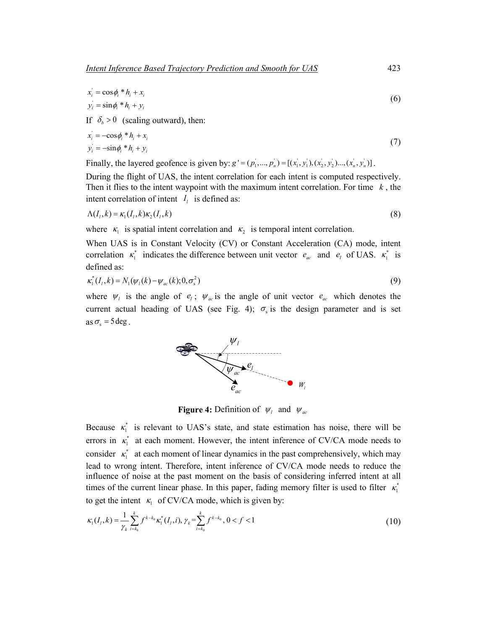$$
x_i = \cos \phi_i * h_i + x_i \tag{6}
$$

$$
y_i' = \sin \phi_i * h_i + y_i
$$

If  $\delta_b > 0$  (scaling outward), then:

$$
x_i = -\cos\phi_i * h_i + x_i
$$
  
\n
$$
y_i = -\sin\phi_i * h_i + y_i
$$
\n(7)

Finally, the layered geofence is given by:  $g' = (p_1, ..., p_n) = [(x_1, y_1), (x_2, y_2), ..., (x_n, y_n)]$ .

During the flight of UAS, the intent correlation for each intent is computed respectively. Then it flies to the intent waypoint with the maximum intent correlation. For time *k* , the intent correlation of intent  $I_i$  is defined as:

$$
\Lambda(I_1,k) = \kappa_1(I_1,k)\kappa_2(I_1,k) \tag{8}
$$

where  $\kappa_1$  is spatial intent correlation and  $\kappa_2$  is temporal intent correlation.

When UAS is in Constant Velocity (CV) or Constant Acceleration (CA) mode, intent correlation  $\kappa_1^*$  indicates the difference between unit vector  $e_{ac}$  and  $e_l$  of UAS.  $\kappa_1^*$  is defined as:

$$
\kappa_1^*(I_1, k) = N_1(\psi_1(k) - \psi_{ac}(k); 0, \sigma_s^2)
$$
\n(9)

where  $\psi_l$  is the angle of  $e_l$ ;  $\psi_{ac}$  is the angle of unit vector  $e_{ac}$  which denotes the current actual heading of UAS (see Fig. 4);  $\sigma_s$  is the design parameter and is set as  $\sigma_{\rm s} = 5 \deg$ .



**Figure 4:** Definition of  $\psi_l$  and  $\psi_{ac}$ 

Because  $\kappa_1^*$  is relevant to UAS's state, and state estimation has noise, there will be errors in  $\kappa_1^*$  at each moment. However, the intent inference of CV/CA mode needs to consider  $\kappa_1^*$  at each moment of linear dynamics in the past comprehensively, which may lead to wrong intent. Therefore, intent inference of CV/CA mode needs to reduce the influence of noise at the past moment on the basis of considering inferred intent at all times of the current linear phase. In this paper, fading memory filter is used to filter  $\kappa_1^*$ to get the intent  $\kappa_1$  of CV/CA mode, which is given by:

$$
\kappa_1(I_l,k) = \frac{1}{\gamma_k} \sum_{i=k_0}^k f^{k-k_0} \kappa_1^*(I_l,i), \, \gamma_k = \sum_{i=k_0}^k f^{k-k_0}, \, 0 < f < 1 \tag{10}
$$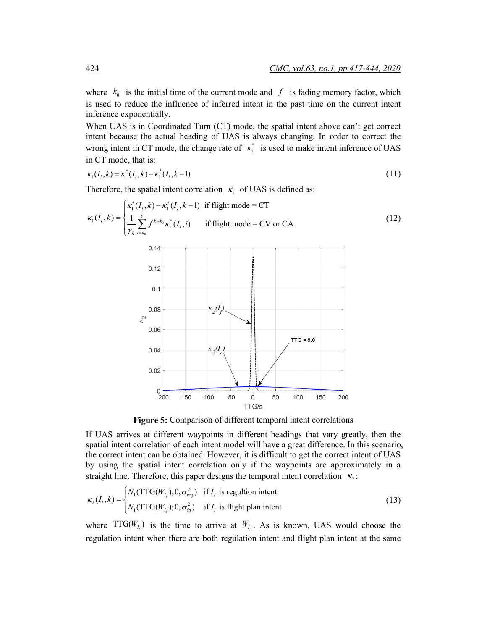where  $k_0$  is the initial time of the current mode and  $f$  is fading memory factor, which is used to reduce the influence of inferred intent in the past time on the current intent inference exponentially.

When UAS is in Coordinated Turn (CT) mode, the spatial intent above can't get correct intent because the actual heading of UAS is always changing. In order to correct the wrong intent in CT mode, the change rate of  $\kappa_1^*$  is used to make intent inference of UAS in CT mode, that is:

$$
\kappa_1(I_i, k) = \kappa_1^*(I_i, k) - \kappa_1^*(I_i, k-1) \tag{11}
$$

Therefore, the spatial intent correlation  $\kappa_1$  of UAS is defined as:

$$
\kappa_1(I_1, k) = \begin{cases}\n\frac{\kappa_1^*(I_1, k) - \kappa_1^*(I_1, k-1) & \text{if flight mode} = \text{CT} \\
\frac{1}{\gamma_k} \sum_{i=k_0}^k f^{k-k_0} \kappa_1^*(I_1, i) & \text{if flight mode} = \text{CV or CA} \\
0.14 & \\
0.12 & \\
0.08 & \\
\frac{\kappa_2(I)}{\kappa_2} \\
0.08 & \\
0.04 & \\
0.02 & \\
0.02 & \\
0.02 & \\
0.03 & \\
0.04 & \\
0.02 & \\
0.03 & \\
0.04 & \\
0.05 & \\
0.07 & \\
0.08 & \\
0.09 & \\
0.01 & \\
0.02 & \\
0.03 & \\
0.04 & \\
0.05 & \\
0.07 & \\
0.03 & \\
0.04 & \\
0.05 & \\
0.07 & \\
0.08 & \\
0.09 & \\
0.00 & \\
0.01 & \\
0.02 & \\
0.03 & \\
0.03 & \\
0.04 & \\
0.05 & \\
0.07 & \\
0.08 & \\
0.09 & \\
0.00 & \\
0.01 & \\
0.02 & \\
0.03 & \\
0.03 & \\
0.04 & \\
0.05 & \\
0.07 & \\
0.08 & \\
0.09 & \\
0.00 & \\
0.01 & \\
0.02 & \\
0.03 & \\
0.03 & \\
0.04 & \\
0.05 & \\
0.07 & \\
0.08 & \\
0.09 & \\
0.00 & \\
0.01 & \\
0.03 & \\
0.04 & \\
0.05 & \\
0.07 & \\
0.08 & \\
0.09 & \\
0.00 & \\
0.00 & \\
0.01 & \\
0.02 & \\
0.03 & \\
0.04 & \\
0.05 & \\
0.07 & \\
0.08 & \\
0.09 & \\
0.00 & \\
0.01 & \\
0.02 & \\
0.03 & \\
0.04 & \\
0.05 & \\
0.05 & \\
0.07 & \\
0.07 & \\
0.08 & \\
0.09 & \\
0.09 & \\
0.01 & \\
0.01 & \\
0.02 & \\
0.03 & \\
0.03 & \\
0.04 & \\
0.05 & \\
0.05 & \\
0.07 & \\
0.08 & \\
0.09 & \\
0.01 & \\
0.02 & \\
0.03 & \\
0.03 & \\
$$

**Figure 5:** Comparison of different temporal intent correlations

If UAS arrives at different waypoints in different headings that vary greatly, then the spatial intent correlation of each intent model will have a great difference. In this scenario, the correct intent can be obtained. However, it is difficult to get the correct intent of UAS by using the spatial intent correlation only if the waypoints are approximately in a straight line. Therefore, this paper designs the temporal intent correlation  $\kappa$ <sub>2</sub>:

$$
\kappa_2(I_i, k) = \begin{cases} N_1(\text{TTG}(W_{I_i}); 0, \sigma_{\text{reg}}^2) & \text{if } I_i \text{ is regulation intent} \\ N_1(\text{TTG}(W_{I_i}); 0, \sigma_{\text{fp}}^2) & \text{if } I_i \text{ is flight plan intent} \end{cases}
$$
(13)

where  $TTG(W_{I_1})$  is the time to arrive at  $W_{I_1}$ . As is known, UAS would choose the regulation intent when there are both regulation intent and flight plan intent at the same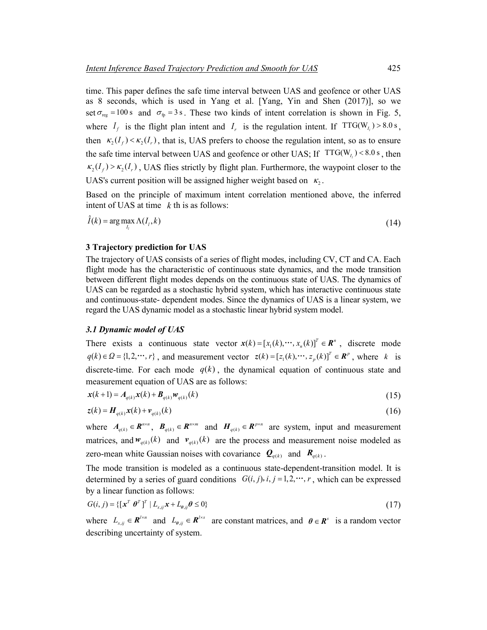time. This paper defines the safe time interval between UAS and geofence or other UAS as 8 seconds, which is used in Yang et al. [Yang, Yin and Shen (2017)], so we set  $\sigma_{\text{reg}} = 100 \text{ s}$  and  $\sigma_{\text{fp}} = 3 \text{ s}$ . These two kinds of intent correlation is shown in Fig. 5, where  $I_f$  is the flight plan intent and  $I_r$  is the regulation intent. If  $TTG(W_{I_i}) > 8.0 \text{ s}$ , then  $\kappa_2 (I_f) \lt \kappa_2 (I_f)$ , that is, UAS prefers to choose the regulation intent, so as to ensure the safe time interval between UAS and geofence or other UAS; If  $TTG(W_l) < 8.0 s$ , then  $\kappa_2(I_f) > \kappa_2(I_r)$ , UAS flies strictly by flight plan. Furthermore, the waypoint closer to the UAS's current position will be assigned higher weight based on  $\kappa$ .

Based on the principle of maximum intent correlation mentioned above, the inferred intent of UAS at time *k* th is as follows:

$$
\hat{I}(k) = \arg \max_{I_l} \Lambda(I_l, k) \tag{14}
$$

# **3 Trajectory prediction for UAS**

The trajectory of UAS consists of a series of flight modes, including CV, CT and CA. Each flight mode has the characteristic of continuous state dynamics, and the mode transition between different flight modes depends on the continuous state of UAS. The dynamics of UAS can be regarded as a stochastic hybrid system, which has interactive continuous state and continuous-state- dependent modes. Since the dynamics of UAS is a linear system, we regard the UAS dynamic model as a stochastic linear hybrid system model.

#### *3.1 Dynamic model of UAS*

There exists a continuous state vector  $\mathbf{x}(k) = [x_1(k), \dots, x_n(k)]^T \in \mathbb{R}^n$ , discrete mode  $q(k) \in \Omega = \{1, 2, \dots, r\}$ , and measurement vector  $z(k) = [z_1(k), \dots, z_p(k)]^T \in \mathbb{R}^p$ , where *k* is discrete-time. For each mode  $q(k)$ , the dynamical equation of continuous state and measurement equation of UAS are as follows:

$$
x(k+1) = A_{q(k)}x(k) + B_{q(k)}w_{q(k)}(k)
$$
\n(15)

$$
z(k) = H_{q(k)}x(k) + v_{q(k)}(k)
$$
\n
$$
(16)
$$

where  $A_{q(k)} \in \mathbf{R}^{n \times n}$ ,  $B_{q(k)} \in \mathbf{R}^{n \times m}$  and  $H_{q(k)} \in \mathbf{R}^{p \times n}$  are system, input and measurement matrices, and  $w_{q(k)}(k)$  and  $v_{q(k)}(k)$  are the process and measurement noise modeled as zero-mean white Gaussian noises with covariance  $Q_{q(k)}$  and  $R_{q(k)}$ .

The mode transition is modeled as a continuous state-dependent-transition model. It is determined by a series of guard conditions  $G(i, j)$ ,  $i, j = 1, 2, \dots, r$ , which can be expressed by a linear function as follows:

$$
G(i,j) = \{ \left[ \boldsymbol{x}^T \boldsymbol{\theta}^T \right]^T | L_{x,ij} \boldsymbol{x} + L_{\theta,ij} \boldsymbol{\theta} \le 0 \}
$$
\n<sup>(17)</sup>

where  $L_{x,y} \in \mathbb{R}^{l \times n}$  and  $L_{\theta,y} \in \mathbb{R}^{l \times s}$  are constant matrices, and  $\theta \in \mathbb{R}^{s}$  is a random vector describing uncertainty of system.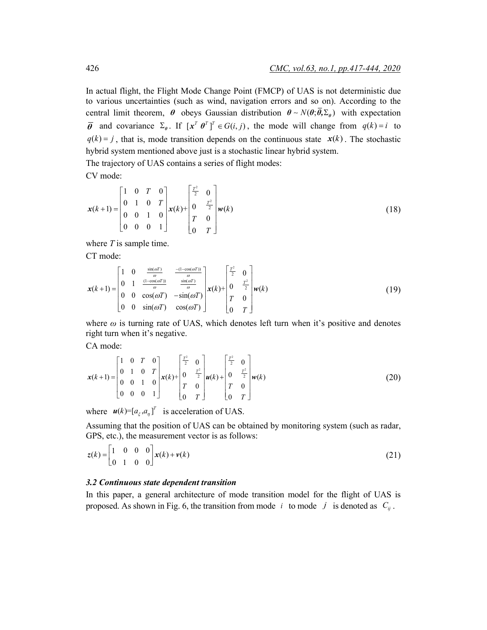In actual flight, the Flight Mode Change Point (FMCP) of UAS is not deterministic due to various uncertainties (such as wind, navigation errors and so on). According to the central limit theorem,  $\theta$  obeys Gaussian distribution  $\theta \sim N(\theta, \overline{\theta}, \Sigma_{\theta})$  with expectation *θ* and covariance  $\Sigma_{\theta}$ . If  $[x^T \theta^T]^T \in G(i, j)$ , the mode will change from  $q(k) = i$  to  $q(k) = j$ , that is, mode transition depends on the continuous state  $x(k)$ . The stochastic hybrid system mentioned above just is a stochastic linear hybrid system.

The trajectory of UAS contains a series of flight modes:

CV mode:

$$
\mathbf{x}(k+1) = \begin{bmatrix} 1 & 0 & T & 0 \\ 0 & 1 & 0 & T \\ 0 & 0 & 1 & 0 \\ 0 & 0 & 0 & 1 \end{bmatrix} \mathbf{x}(k) + \begin{bmatrix} \frac{T^2}{2} & 0 \\ 0 & \frac{T^2}{2} \\ T & 0 \\ 0 & T \end{bmatrix} \mathbf{w}(k)
$$
(18)

where *T* is sample time.

CT mode:

$$
\mathbf{x}(k+1) = \begin{bmatrix} 1 & 0 & \frac{\sin(\omega T)}{\omega} & \frac{-(1-\cos(\omega T))}{\omega} \\ 0 & 1 & \frac{(1-\cos(\omega T))}{\omega} & \frac{\sin(\omega T)}{\omega} \\ 0 & 0 & \cos(\omega T) & -\sin(\omega T) \\ 0 & 0 & \sin(\omega T) & \cos(\omega T) \end{bmatrix} \mathbf{x}(k) + \begin{bmatrix} \frac{T^2}{2} & 0 \\ 0 & \frac{T^2}{2} \\ T & 0 \\ 0 & T \end{bmatrix} \mathbf{w}(k)
$$
(19)

where  $\omega$  is turning rate of UAS, which denotes left turn when it's positive and denotes right turn when it's negative.

CA mode:

$$
\mathbf{x}(k+1) = \begin{bmatrix} 1 & 0 & T & 0 \\ 0 & 1 & 0 & T \\ 0 & 0 & 1 & 0 \\ 0 & 0 & 0 & 1 \end{bmatrix} \mathbf{x}(k) + \begin{bmatrix} \frac{T^2}{2} & 0 \\ 0 & \frac{T^2}{2} \\ T & 0 \\ 0 & T \end{bmatrix} \mathbf{u}(k) + \begin{bmatrix} \frac{T^2}{2} & 0 \\ 0 & \frac{T^2}{2} \\ T & 0 \\ 0 & T \end{bmatrix} \mathbf{w}(k)
$$
(20)

where  $\mathbf{u}(k)=[a_{\xi}, a_{n}]^{T}$  is acceleration of UAS.

Assuming that the position of UAS can be obtained by monitoring system (such as radar, GPS, etc.), the measurement vector is as follows:

$$
z(k) = \begin{bmatrix} 1 & 0 & 0 & 0 \\ 0 & 1 & 0 & 0 \end{bmatrix} x(k) + v(k)
$$
 (21)

# *3.2 Continuous state dependent transition*

In this paper, a general architecture of mode transition model for the flight of UAS is proposed. As shown in Fig. 6, the transition from mode *i* to mode *j* is denoted as  $C_{ij}$ .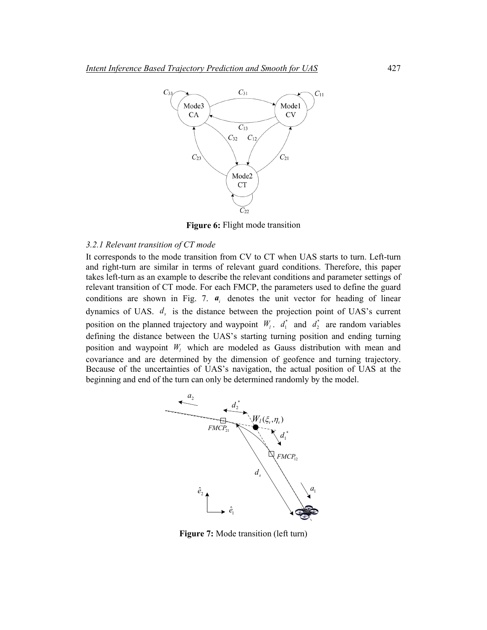

**Figure 6:** Flight mode transition

#### *3.2.1 Relevant transition of CT mode*

It corresponds to the mode transition from CV to CT when UAS starts to turn. Left-turn and right-turn are similar in terms of relevant guard conditions. Therefore, this paper takes left-turn as an example to describe the relevant conditions and parameter settings of relevant transition of CT mode. For each FMCP, the parameters used to define the guard conditions are shown in Fig. 7.  $a_i$  denotes the unit vector for heading of linear dynamics of UAS.  $d_s$  is the distance between the projection point of UAS's current position on the planned trajectory and waypoint  $W_1$ .  $d_1^*$  and  $d_2^*$  are random variables defining the distance between the UAS's starting turning position and ending turning position and waypoint  $W_l$  which are modeled as Gauss distribution with mean and covariance and are determined by the dimension of geofence and turning trajectory. Because of the uncertainties of UAS's navigation, the actual position of UAS at the beginning and end of the turn can only be determined randomly by the model.



**Figure 7:** Mode transition (left turn)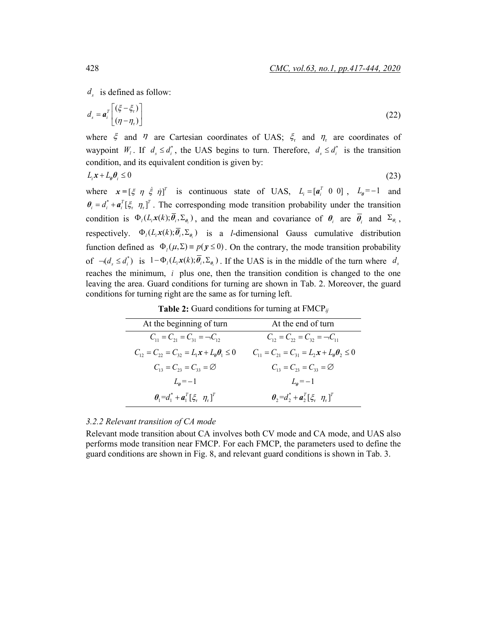$d<sub>s</sub>$  is defined as follow:

$$
d_s = \boldsymbol{a}_i^T \begin{bmatrix} (\xi - \xi_r) \\ (\eta - \eta_r) \end{bmatrix} \tag{22}
$$

where  $\xi$  and  $\eta$  are Cartesian coordinates of UAS;  $\xi$  and  $\eta$  are coordinates of waypoint  $W_i$ . If  $d_s \leq d_i^*$ , the UAS begins to turn. Therefore,  $d_s \leq d_i^*$  is the transition condition, and its equivalent condition is given by:

$$
L_i \mathbf{x} + L_\theta \theta_i \le 0 \tag{23}
$$

where  $x = [\xi \eta \xi \eta]$  is continuous state of UAS,  $L_i = [a_i^T \ 0 \ 0]$ ,  $L_{\theta} = -1$  and  $\theta_i = d_i^* + a_i^T [\xi_i \eta_i]^T$ . The corresponding mode transition probability under the transition condition is  $\Phi_i(L_i \mathbf{x}(k); \overline{\theta}_i, \Sigma_{\theta_i})$ , and the mean and covariance of  $\theta_i$  are  $\overline{\theta}_i$  and  $\Sigma_{\theta_i}$ , respectively.  $\Phi_i(L_i \mathbf{x}(k); \overline{\theta}_i, \Sigma_{\theta})$  is a *l*-dimensional Gauss cumulative distribution function defined as  $\Phi_i (\mu, \Sigma) = p(y \le 0)$ . On the contrary, the mode transition probability of  $\neg ( d_{\varepsilon} \leq d_{\varepsilon}^*)$  is  $1 - \Phi_{\varepsilon}(L_{\varepsilon} \mathbf{x}(k); \overline{\theta}_{\varepsilon}, \Sigma_{\theta_{\varepsilon}})$ . If the UAS is in the middle of the turn where  $d_{\varepsilon}$ reaches the minimum, *i* plus one, then the transition condition is changed to the one leaving the area. Guard conditions for turning are shown in Tab. 2. Moreover, the guard conditions for turning right are the same as for turning left.

| <b>Table 2:</b> Guard conditions for turning at $\text{FMCP}_{ij}$ |  |  |  |
|--------------------------------------------------------------------|--|--|--|
|--------------------------------------------------------------------|--|--|--|

| At the beginning of turn                                | At the end of turn                                               |
|---------------------------------------------------------|------------------------------------------------------------------|
| $C_{11} = C_{21} = C_{31} = -C_{12}$                    | $C_{12} = C_{22} = C_{32} = -C_{11}$                             |
| $C_{12} = C_{22} = C_{32} = L_1 x + L_0 \theta_1 \le 0$ | $C_{11} = C_{21} = C_{31} = L_2 \mathbf{x} + L_4 \theta_2 \le 0$ |
| $C_{13} = C_{23} = C_{33} = \emptyset$                  | $C_{13} = C_{23} = C_{33} = \emptyset$                           |
| $L_{\theta} = -1$                                       | $L_{\theta} = -1$                                                |
| $\theta_1 = d_1^* + a_1^T [\xi_r \ \eta_r]^T$           | $\theta_2 = d_2^* + a_2^T [\xi_1 \eta_1]^T$                      |

# *3.2.2 Relevant transition of CA mode*

Relevant mode transition about CA involves both CV mode and CA mode, and UAS also performs mode transition near FMCP. For each FMCP, the parameters used to define the guard conditions are shown in Fig. 8, and relevant guard conditions is shown in Tab. 3.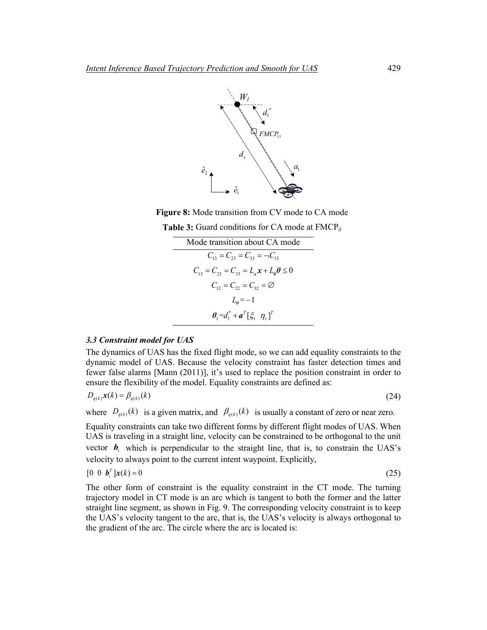

**Figure 8:** Mode transition from CV mode to CA mode

**Table 3:** Guard conditions for CA mode at FMCP*ij*

| Mode transition about CA mode                           |
|---------------------------------------------------------|
| $C_{13} = C_{23} = C_{33} = -C_{13}$                    |
| $C_{13} = C_{23} = C_{33} = L_{1}x + L_{0}\theta \le 0$ |
| $C_{12} = C_{22} = C_{32} = \emptyset$                  |
| $L_{\rm a} = -1$                                        |
| $\theta_1 = d_1^* + a^T [\xi, \eta]$                    |

#### *3.3 Constraint model for UAS*

The dynamics of UAS has the fixed flight mode, so we can add equality constraints to the dynamic model of UAS. Because the velocity constraint has faster detection times and fewer false alarms [Mann (2011)], it's used to replace the position constraint in order to ensure the flexibility of the model. Equality constraints are defined as:

$$
D_{q(k)}\mathbf{x}(k) = \beta_{q(k)}(k) \tag{24}
$$

where  $D_{q(k)}(k)$  is a given matrix, and  $\beta_{q(k)}(k)$  is usually a constant of zero or near zero.

Equality constraints can take two different forms by different flight modes of UAS. When UAS is traveling in a straight line, velocity can be constrained to be orthogonal to the unit vector  $\bm{b}_i$  which is perpendicular to the straight line, that is, to constrain the UAS's velocity to always point to the current intent waypoint. Explicitly,

$$
[0 \ 0 \ b_i^T] \mathbf{x}(k) = 0 \tag{25}
$$

The other form of constraint is the equality constraint in the CT mode. The turning trajectory model in CT mode is an arc which is tangent to both the former and the latter straight line segment, as shown in Fig. 9. The corresponding velocity constraint is to keep the UAS's velocity tangent to the arc, that is, the UAS's velocity is always orthogonal to the gradient of the arc. The circle where the arc is located is: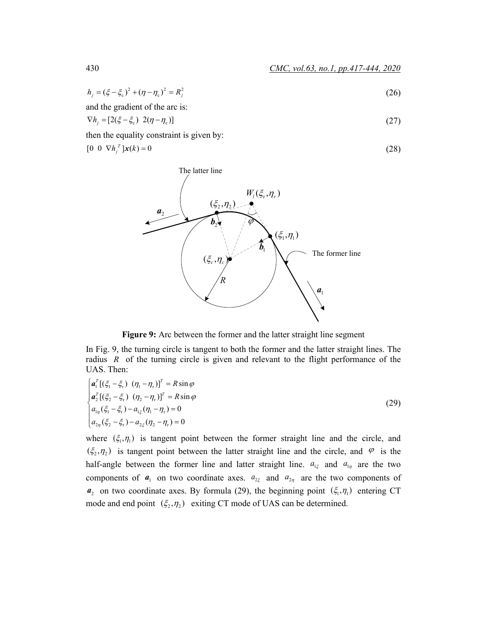$$
h_j = (\xi - \xi_c)^2 + (\eta - \eta_c)^2 = R_j^2
$$
\n(26)

and the gradient of the arc is:

$$
\nabla h_j = [2(\xi - \xi_c) 2(\eta - \eta_c)] \tag{27}
$$

then the equality constraint is given by:

 $[0 \ 0 \ \nabla h_j^T] \mathbf{x}(k) = 0$  (28)



**Figure 9:** Arc between the former and the latter straight line segment

In Fig. 9, the turning circle is tangent to both the former and the latter straight lines. The radius *R* of the turning circle is given and relevant to the flight performance of the UAS. Then:

$$
\begin{cases}\n a_1^T \left[ (\xi_1 - \xi_r) \ (\eta_1 - \eta_r) \right]^T = R \sin \varphi \\
 a_2^T \left[ (\xi_2 - \xi_r) \ (\eta_2 - \eta_r) \right]^T = R \sin \varphi \\
 a_{1\eta} (\xi_1 - \xi_r) - a_{1\xi} (\eta_1 - \eta_r) = 0 \\
 a_{2\eta} (\xi_2 - \xi_r) - a_{2\xi} (\eta_2 - \eta_r) = 0\n\end{cases}
$$
\n(29)

where  $(\xi_1, \eta_1)$  is tangent point between the former straight line and the circle, and  $( \xi_2, \eta_2 )$  is tangent point between the latter straight line and the circle, and  $\varphi$  is the half-angle between the former line and latter straight line.  $a_{1\xi}$  and  $a_{1\eta}$  are the two components of  $a_1$  on two coordinate axes.  $a_{2\xi}$  and  $a_{2\eta}$  are the two components of  $a_2$  on two coordinate axes. By formula (29), the beginning point  $(\xi_1, \eta_1)$  entering CT mode and end point  $(\xi_2, \eta_2)$  exiting CT mode of UAS can be determined.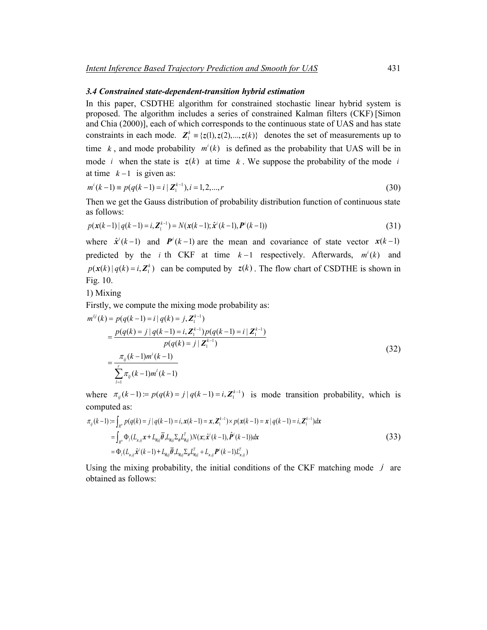#### *3.4 Constrained state-dependent-transition hybrid estimation*

In this paper, CSDTHE algorithm for constrained stochastic linear hybrid system is proposed. The algorithm includes a series of constrained Kalman filters (CKF) [Simon and Chia (2000)], each of which corresponds to the continuous state of UAS and has state constraints in each mode.  $\mathbf{Z}_{1}^{k} = \{z(1), z(2),..., z(k)\}\$  denotes the set of measurements up to time *k*, and mode probability  $m^{i}(k)$  is defined as the probability that UAS will be in mode *i* when the state is  $z(k)$  at time k. We suppose the probability of the mode *i* at time  $k-1$  is given as:

$$
m^{i}(k-1) \equiv p(q(k-1) = i | \mathbf{Z}_{1}^{k-1}), i = 1, 2, ..., r
$$
\n(30)

Then we get the Gauss distribution of probability distribution function of continuous state as follows:

$$
p(\mathbf{x}(k-1))|q(k-1)=i, \mathbf{Z}_1^{k-1})=N(\mathbf{x}(k-1), \hat{\mathbf{x}}^i(k-1), \mathbf{P}^i(k-1))
$$
\n(31)

where  $\hat{x}^{i}(k-1)$  and  $P^{i}(k-1)$  are the mean and covariance of state vector  $x(k-1)$ predicted by the *i* th CKF at time  $k-1$  respectively. Afterwards,  $m^i(k)$  and  $p(x(k) | q(k) = i, \mathbf{Z}^k$  can be computed by  $z(k)$ . The flow chart of CSDTHE is shown in Fig. 10.

1) Mixing

Firstly, we compute the mixing mode probability as:

$$
m^{ij}(k) = p(q(k-1) = i | q(k) = j, \mathbf{Z}_{1}^{k-1})
$$
  
= 
$$
\frac{p(q(k) = j | q(k-1) = i, \mathbf{Z}_{1}^{k-1}) p(q(k-1) = i | \mathbf{Z}_{1}^{k-1})}{p(q(k) = j | \mathbf{Z}_{1}^{k-1})}
$$
  
= 
$$
\frac{\pi_{ij}(k-1)m^{i}(k-1)}{\sum_{l=1}^{r} \pi_{ij}(k-1)m^{l}(k-1)}
$$
(32)

where  $\pi_{ij}(k-1) = p(q(k) = j | q(k-1) = i, \mathbb{Z}_1^{k-1})$  is mode transition probability, which is computed as:

$$
\pi_{ij}(k-1) := \int_{R^n} p(q(k) = j | q(k-1) = i, \mathbf{x}(k-1) = \mathbf{x}, \mathbf{Z}_1^{k-1}) \times p(\mathbf{x}(k-1) = \mathbf{x} | q(k-1) = i, \mathbf{Z}_1^{k-1}) d\mathbf{x}
$$
\n
$$
= \int_{R^n} \Phi_i(L_{x,ij} \mathbf{x} + L_{\theta,ij} \overline{\theta}, L_{\theta,ij} \Sigma_{\theta} L_{\theta,ij}^T) N(\mathbf{x}; \hat{\mathbf{x}}^i(k-1), \hat{\mathbf{P}}^i(k-1)) d\mathbf{x}
$$
\n
$$
= \Phi_i(L_{x,ij} \hat{\mathbf{x}}^i(k-1) + L_{\theta,ij} \overline{\theta}, L_{\theta,ij} \Sigma_{\theta} L_{\theta,ij}^T + L_{x,ij} \mathbf{P}^i(k-1) L_{x,ij}^T)
$$
\n(33)

Using the mixing probability, the initial conditions of the CKF matching mode  $j$  are obtained as follows: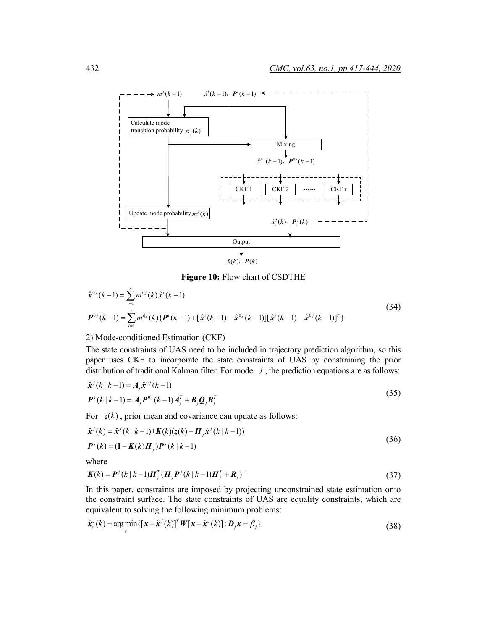

**Figure 10:** Flow chart of CSDTHE

$$
\hat{\mathbf{x}}^{0j}(k-1) = \sum_{i=1}^{r} m^{i|j}(k)\hat{\mathbf{x}}^{i}(k-1)
$$
\n
$$
\mathbf{P}^{0j}(k-1) = \sum_{i=1}^{r} m^{i|j}(k)\{\mathbf{P}^{i}(k-1) + [\hat{\mathbf{x}}^{i}(k-1) - \hat{\mathbf{x}}^{0j}(k-1)][\hat{\mathbf{x}}^{i}(k-1) - \hat{\mathbf{x}}^{0j}(k-1)]^{T}\}
$$
\n(34)

2) Mode-conditioned Estimation (CKF)

The state constraints of UAS need to be included in trajectory prediction algorithm, so this paper uses CKF to incorporate the state constraints of UAS by constraining the prior distribution of traditional Kalman filter. For mode  $j$ , the prediction equations are as follows:

$$
\hat{\mathbf{x}}^{j}(k|k-1) = A_{j}\hat{\mathbf{x}}^{0j}(k-1) \n\mathbf{P}^{j}(k|k-1) = A_{j}\mathbf{P}^{0j}(k-1)A_{j}^{T} + \mathbf{B}_{j}\mathbf{Q}_{j}\mathbf{B}_{j}^{T}
$$
\n(35)

For  $z(k)$ , prior mean and covariance can update as follows:

$$
\hat{\mathbf{x}}^{j}(k) = \hat{\mathbf{x}}^{j}(k | k - 1) + \mathbf{K}(k)(\mathbf{z}(k) - \mathbf{H}_{j}\hat{\mathbf{x}}^{j}(k | k - 1))
$$
\n
$$
\mathbf{P}^{j}(k) = (\mathbf{I} - \mathbf{K}(k)\mathbf{H}_{j})\mathbf{P}^{j}(k | k - 1)
$$
\n(36)

where

$$
\mathbf{K}(k) = \mathbf{P}^{j}(k | k - 1)\mathbf{H}_{j}^{T}(\mathbf{H}_{j}\mathbf{P}^{j}(k | k - 1)\mathbf{H}_{j}^{T} + \mathbf{R}_{j})^{-1}
$$
\n(37)

In this paper, constraints are imposed by projecting unconstrained state estimation onto the constraint surface. The state constraints of UAS are equality constraints, which are equivalent to solving the following minimum problems:

$$
\hat{\mathbf{x}}_c^j(k) = \arg\min_{\mathbf{x}} \{ [\mathbf{x} - \hat{\mathbf{x}}^j(k)]^T \mathbf{W} [\mathbf{x} - \hat{\mathbf{x}}^j(k)] : \mathbf{D}_j \mathbf{x} = \beta_j \}
$$
(38)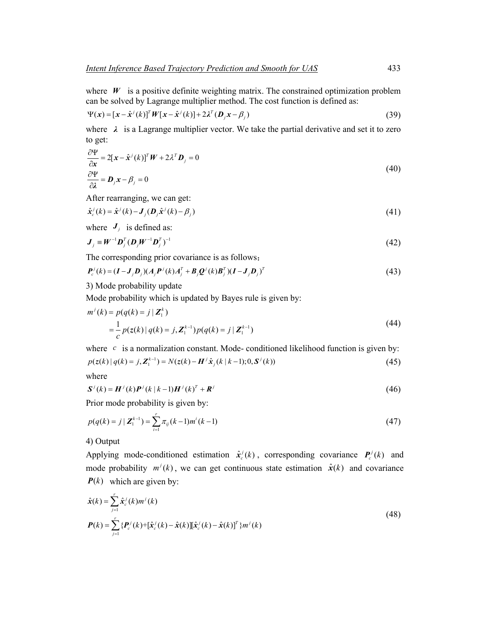where  $W$  is a positive definite weighting matrix. The constrained optimization problem can be solved by Lagrange multiplier method. The cost function is defined as:

$$
\Psi(\mathbf{x}) = [\mathbf{x} - \hat{\mathbf{x}}^j(k)]^T W [\mathbf{x} - \hat{\mathbf{x}}^j(k)] + 2\lambda^T (\mathbf{D}_j \mathbf{x} - \beta_j)
$$
(39)

where  $\lambda$  is a Lagrange multiplier vector. We take the partial derivative and set it to zero to get:

$$
\frac{\partial \Psi}{\partial x} = 2[x - \hat{x}^j(k)]^T W + 2\lambda^T D_j = 0
$$
  
\n
$$
\frac{\partial \Psi}{\partial \lambda} = D_j x - \beta_j = 0
$$
\n(40)

After rearranging, we can get:

$$
\hat{\mathbf{x}}_c^j(k) = \hat{\mathbf{x}}^j(k) - \mathbf{J}_j(\mathbf{D}_j \hat{\mathbf{x}}^j(k) - \beta_j)
$$
\n(41)

where  $J_i$  is defined as:

$$
J_j = W^{-1} D_j^T (D_j W^{-1} D_j^T)^{-1}
$$
\n(42)

The corresponding prior covariance is as follows:

$$
P_c^j(k) = (I - J_j D_j)(A_j P^j(k)A_j^T + B_j Q^j(k)B_j^T)(I - J_j D_j)^T
$$
\n(43)

3) Mode probability update

Mode probability which is updated by Bayes rule is given by:

$$
m^{j}(k) = p(q(k) = j | \mathbf{Z}_{1}^{k})
$$
  
=  $\frac{1}{c} p(z(k) | q(k) = j, \mathbf{Z}_{1}^{k-1}) p(q(k) = j | \mathbf{Z}_{1}^{k-1})$  (44)

where  $c$  is a normalization constant. Mode- conditioned likelihood function is given by:

$$
p(z(k) | q(k) = j, \mathbf{Z}_1^{k-1}) = N(z(k) - \mathbf{H}^j \hat{\mathbf{x}}_j(k | k-1); 0, \mathbf{S}^j(k))
$$
\n(45)

where

$$
\mathbf{S}^{j}(k) = \mathbf{H}^{j}(k)\mathbf{P}^{j}(k|k-1)\mathbf{H}^{j}(k)^{T} + \mathbf{R}^{j}
$$
\n
$$
(46)
$$

Prior mode probability is given by:

$$
p(q(k) = j | \mathbf{Z}_{1}^{k-1}) = \sum_{i=1}^{r} \pi_{ij}(k-1)m^{i}(k-1)
$$
\n(47)

4) Output

Applying mode-conditioned estimation  $\hat{\mathbf{x}}_c^j(k)$ , corresponding covariance  $\mathbf{P}_c^j(k)$  and mode probability  $m^{j}(k)$ , we can get continuous state estimation  $\hat{x}(k)$  and covariance  $P(k)$  which are given by:

$$
\hat{\mathbf{x}}(k) = \sum_{j=1}^{r} \hat{\mathbf{x}}_c^{j}(k) m^{j}(k)
$$
\n
$$
\mathbf{P}(k) = \sum_{j=1}^{r} \{ \mathbf{P}_c^{j}(k) + [\hat{\mathbf{x}}_c^{j}(k) - \hat{\mathbf{x}}(k)][\hat{\mathbf{x}}_c^{j}(k) - \hat{\mathbf{x}}(k)]^{T} \} m^{j}(k)
$$
\n(48)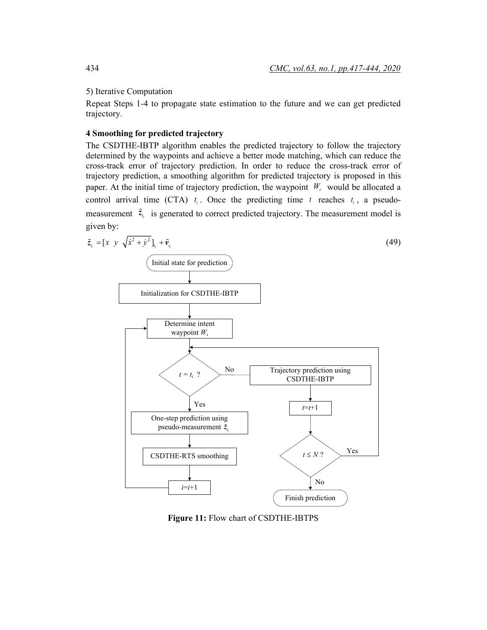### 5) Iterative Computation

Repeat Steps 1-4 to propagate state estimation to the future and we can get predicted trajectory.

# **4 Smoothing for predicted trajectory**

The CSDTHE-IBTP algorithm enables the predicted trajectory to follow the trajectory determined by the waypoints and achieve a better mode matching, which can reduce the cross-track error of trajectory prediction. In order to reduce the cross-track error of trajectory prediction, a smoothing algorithm for predicted trajectory is proposed in this paper. At the initial time of trajectory prediction, the waypoint  $W_i$  would be allocated a control arrival time (CTA)  $t_i$ . Once the predicting time  $t$  reaches  $t_i$ , a pseudomeasurement  $\tilde{z}_{t_i}$  is generated to correct predicted trajectory. The measurement model is given by:



**Figure 11:** Flow chart of CSDTHE-IBTPS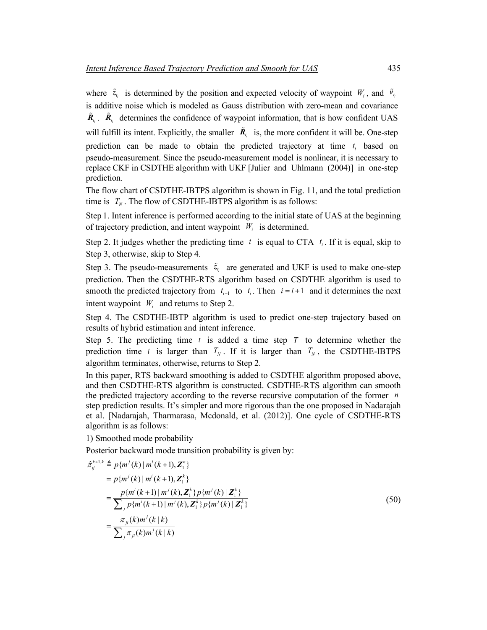where  $\tilde{z}_i$  is determined by the position and expected velocity of waypoint  $W_i$ , and  $\tilde{v}_i$ is additive noise which is modeled as Gauss distribution with zero-mean and covariance  $\tilde{R}_{t_i}$ .  $\tilde{R}_{t_i}$  determines the confidence of waypoint information, that is how confident UAS will fulfill its intent. Explicitly, the smaller  $\tilde{R}_t$  is, the more confident it will be. One-step prediction can be made to obtain the predicted trajectory at time  $t_i$  based on pseudo-measurement. Since the pseudo-measurement model is nonlinear, it is necessary to replace CKF in CSDTHE algorithm with UKF [Julier and Uhlmann (2004)] in one-step prediction.

The flow chart of CSDTHE-IBTPS algorithm is shown in Fig. 11, and the total prediction time is  $T_N$ . The flow of CSDTHE-IBTPS algorithm is as follows:

Step 1. Intent inference is performed according to the initial state of UAS at the beginning of trajectory prediction, and intent waypoint  $W_i$  is determined.

Step 2. It judges whether the predicting time  $t_i$  is equal to CTA  $t_i$ . If it is equal, skip to Step 3, otherwise, skip to Step 4.

Step 3. The pseudo-measurements  $\tilde{z}_i$  are generated and UKF is used to make one-step prediction. Then the CSDTHE-RTS algorithm based on CSDTHE algorithm is used to smooth the predicted trajectory from  $t_{i-1}$  to  $t_i$ . Then  $i = i+1$  and it determines the next intent waypoint  $W_i$  and returns to Step 2.

Step 4. The CSDTHE-IBTP algorithm is used to predict one-step trajectory based on results of hybrid estimation and intent inference.

Step 5. The predicting time *t* is added a time step *T* to determine whether the prediction time *t* is larger than  $T_N$ . If it is larger than  $T_N$ , the CSDTHE-IBTPS algorithm terminates, otherwise, returns to Step 2.

In this paper, RTS backward smoothing is added to CSDTHE algorithm proposed above, and then CSDTHE-RTS algorithm is constructed. CSDTHE-RTS algorithm can smooth the predicted trajectory according to the reverse recursive computation of the former *n* step prediction results. It's simpler and more rigorous than the one proposed in Nadarajah et al. [Nadarajah, Tharmarasa, Mcdonald, et al. (2012)]. One cycle of CSDTHE-RTS algorithm is as follows:

1) Smoothed mode probability

Posterior backward mode transition probability is given by:

$$
\hat{\pi}_{ij}^{k+1,k} \triangleq p\{m^{j}(k) | m^{i}(k+1), \mathbf{Z}_{1}^{n}\}\n= p\{m^{j}(k) | m^{i}(k+1), \mathbf{Z}_{1}^{k}\}\n= \frac{p\{m^{i}(k+1) | m^{j}(k), \mathbf{Z}_{1}^{k}\} p\{m^{j}(k) | \mathbf{Z}_{1}^{k}\}}{\sum_{j} p\{m^{i}(k+1) | m^{j}(k), \mathbf{Z}_{1}^{k}\} p\{m^{j}(k) | \mathbf{Z}_{1}^{k}\}\n= \frac{\pi_{ji}(k)m^{j}(k|k)}{\sum_{j} \pi_{ji}(k)m^{j}(k|k)}
$$
\n(50)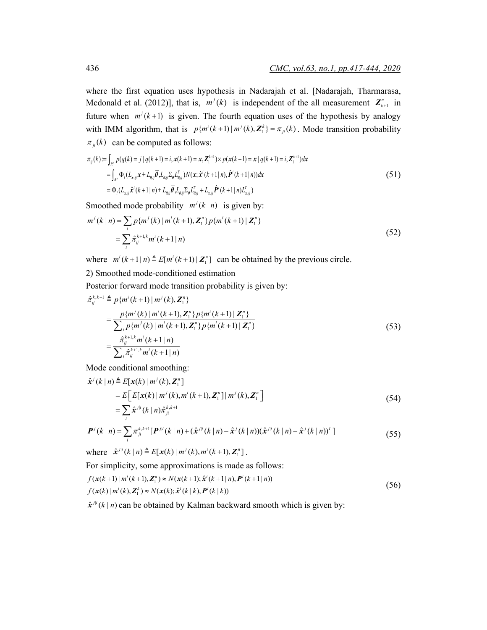where the first equation uses hypothesis in Nadarajah et al. [Nadarajah, Tharmarasa, Mcdonald et al. (2012)], that is,  $m^{j}(k)$  is independent of the all measurement  $\mathbf{Z}_{k+1}^{n}$  in future when  $m^{j}(k+1)$  is given. The fourth equation uses of the hypothesis by analogy with IMM algorithm, that is  $p{m^{i}(k+1) | m^{j}(k), Z_{1}^{k}} = \pi_{ji}(k)$ . Mode transition probability  $\pi_{ii}(k)$  can be computed as follows:

$$
\pi_{ij}(k) := \int_{R^n} p(q(k) = j | q(k+1) = i, x(k+1) = x, Z_1^{k+1}) \times p(x(k+1) = x | q(k+1) = i, Z_1^{k+1}) dx
$$
  
\n
$$
= \int_{R^n} \Phi_i (L_{x,ij} x + L_{\theta,ij} \overline{\theta}, L_{\theta,ij} \Sigma_{\theta} L_{\theta,ij}^T) N(x; \hat{x}^i(k+1 | n), \hat{P}^i(k+1 | n)) dx
$$
  
\n
$$
= \Phi_i (L_{x,ij} \hat{x}^i(k+1 | n) + L_{\theta,ij} \overline{\theta}, L_{\theta,ij} \Sigma_{\theta} L_{\theta,ij}^T + L_{x,ij} \hat{P}^i(k+1 | n) L_{x,ij}^T)
$$
\n(51)

Smoothed mode probability  $m^{j}(k|n)$  is given by:

$$
m^{j}(k | n) = \sum_{i} p{m^{i}(k) | m^{i}(k+1), \mathbf{Z}_{1}^{n}} p{m^{i}(k+1) | \mathbf{Z}_{1}^{n}}
$$
  
= 
$$
\sum_{i} \hat{\pi}_{ij}^{k+1,k} m^{i}(k+1 | n)
$$
 (52)

where  $m^{i} (k+1 | n) \triangleq E[m^{i} (k+1) | \mathbf{Z}_{1}^{n}]$  can be obtained by the previous circle.

# 2) Smoothed mode-conditioned estimation

Posterior forward mode transition probability is given by:

$$
\hat{\pi}_{ij}^{k,k+1} \triangleq p\{m^{i}(k+1)|m^{j}(k), \mathbf{Z}_{1}^{n}\}\n= \frac{p\{m^{j}(k)|m^{i}(k+1), \mathbf{Z}_{1}^{n}\}p\{m^{i}(k+1)|\mathbf{Z}_{1}^{n}\}}{\sum_{i} p\{m^{j}(k)|m^{i}(k+1), \mathbf{Z}_{1}^{n}\}p\{m^{i}(k+1)|\mathbf{Z}_{1}^{n}\}\n= \frac{\hat{\pi}_{ij}^{k+1,k}m^{i}(k+1|n)}{\sum_{i} \hat{\pi}_{ij}^{k+1,k}m^{i}(k+1|n)}
$$
\n(53)

Mode conditional smoothing:

$$
\hat{\mathbf{x}}^{j}(k \mid n) \triangleq E[\mathbf{x}(k) \mid m^{j}(k), \mathbf{Z}_{1}^{n}]
$$
\n
$$
= E\Big[E[\mathbf{x}(k) \mid m^{j}(k), m^{i}(k+1), \mathbf{Z}_{1}^{n}] \mid m^{j}(k), \mathbf{Z}_{1}^{n}\Big]
$$
\n
$$
= \sum_{i} \hat{\mathbf{x}}^{j|i}(k \mid n) \hat{\pi}_{ji}^{k,k+1}
$$
\n(54)

$$
\boldsymbol{P}^{j}(k|n) = \sum_{i} \pi_{ji}^{k,k+1} [\boldsymbol{P}^{j|i}(k|n) + (\hat{\boldsymbol{x}}^{j|i}(k|n) - \hat{\boldsymbol{x}}^{j}(k|n)) (\hat{\boldsymbol{x}}^{j|i}(k|n) - \hat{\boldsymbol{x}}^{j}(k|n))^{T}]
$$
\n(55)

where  $\hat{x}^{j|i}(k|n) \triangleq E[x(k)|m^{j}(k),m^{i}(k+1),Z_{1}^{n}]$ .

For simplicity, some approximations is made as follows:

$$
f(\mathbf{x}(k+1)) | m^{i}(k+1), \mathbf{Z}_{1}^{n}) \approx N(\mathbf{x}(k+1); \hat{\mathbf{x}}^{i}(k+1 | n), \mathbf{P}^{i}(k+1 | n))
$$
  

$$
f(\mathbf{x}(k) | m^{i}(k), \mathbf{Z}_{1}^{k}) \approx N(\mathbf{x}(k); \hat{\mathbf{x}}^{i}(k | k), \mathbf{P}^{i}(k | k))
$$
 (56)

 $\hat{x}^{j|i}(k|n)$  can be obtained by Kalman backward smooth which is given by: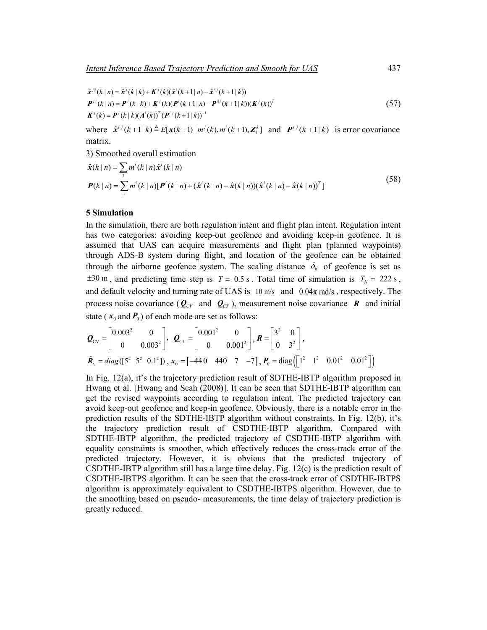$$
\hat{\mathbf{x}}^{j|i}(k|n) = \hat{\mathbf{x}}^{j}(k|k) + \mathbf{K}^{j}(k)(\hat{\mathbf{x}}^{i}(k+1|n) - \hat{\mathbf{x}}^{i|j}(k+1|k))
$$
\n
$$
\mathbf{P}^{j|i}(k|n) = \mathbf{P}^{j}(k|k) + \mathbf{K}^{j}(k)(\mathbf{P}^{i}(k+1|n) - \mathbf{P}^{i|j}(k+1|k))(\mathbf{K}^{j}(k))^{T}
$$
\n
$$
\mathbf{K}^{j}(k) = \mathbf{P}^{j}(k|k)(\mathbf{A}^{i}(k))^{T}(\mathbf{P}^{i|j}(k+1|k))^{-1}
$$
\n(57)

where  $\hat{\mathbf{x}}^{(i)}(k+1|k) \triangleq E[\mathbf{x}(k+1)|m^j(k), m^i(k+1), \mathbf{Z}_1^k]$  and  $\mathbf{P}^{(i)}(k+1|k)$  is error covariance matrix.

3) Smoothed overall estimation

$$
\hat{\mathbf{x}}(k|n) = \sum_{i} m^{i} (k|n) \hat{\mathbf{x}}^{i} (k|n)
$$
  

$$
\mathbf{P}(k|n) = \sum_{i} m^{i} (k|n) [\mathbf{P}^{i} (k|n) + (\hat{\mathbf{x}}^{i} (k|n) - \hat{\mathbf{x}}(k|n)) (\hat{\mathbf{x}}^{i} (k|n) - \hat{\mathbf{x}}(k|n))^{T}]
$$
\n(58)

### **5 Simulation**

In the simulation, there are both regulation intent and flight plan intent. Regulation intent has two categories: avoiding keep-out geofence and avoiding keep-in geofence. It is assumed that UAS can acquire measurements and flight plan (planned waypoints) through ADS-B system during flight, and location of the geofence can be obtained through the airborne geofence system. The scaling distance  $\delta_b$  of geofence is set as  $\pm 30 \text{ m}$ , and predicting time step is  $T = 0.5 \text{ s}$ . Total time of simulation is  $T_N = 222 \text{ s}$ , and default velocity and turning rate of UAS is  $10 \text{ m/s}$  and  $0.04\pi \text{ rad/s}$ , respectively. The process noise covariance ( $Q_{CV}$  and  $Q_{CT}$ ), measurement noise covariance **R** and initial state ( $x_0$  and  $P_0$ ) of each mode are set as follows:

$$
\mathbf{Q}_{\text{CV}} = \begin{bmatrix} 0.003^2 & 0 \\ 0 & 0.003^2 \end{bmatrix}, \ \mathbf{Q}_{\text{CT}} = \begin{bmatrix} 0.001^2 & 0 \\ 0 & 0.001^2 \end{bmatrix}, \ \mathbf{R} = \begin{bmatrix} 3^2 & 0 \\ 0 & 3^2 \end{bmatrix},
$$

$$
\tilde{\mathbf{R}}_i = diag([5^2 \ 5^2 \ 0.1^2]), \ \mathbf{x}_0 = [-440 \ 440 \ 7 \ -7], \ \mathbf{P}_0 = diag(\begin{bmatrix} 1^2 & 1^2 & 0.01^2 & 0.01^2 \end{bmatrix})
$$

In Fig. 12(a), it's the trajectory prediction result of SDTHE-IBTP algorithm proposed in Hwang et al. [Hwang and Seah (2008)]. It can be seen that SDTHE-IBTP algorithm can get the revised waypoints according to regulation intent. The predicted trajectory can avoid keep-out geofence and keep-in geofence. Obviously, there is a notable error in the prediction results of the SDTHE-IBTP algorithm without constraints. In Fig. 12(b), it's the trajectory prediction result of CSDTHE-IBTP algorithm. Compared with SDTHE-IBTP algorithm, the predicted trajectory of CSDTHE-IBTP algorithm with equality constraints is smoother, which effectively reduces the cross-track error of the predicted trajectory. However, it is obvious that the predicted trajectory of CSDTHE-IBTP algorithm still has a large time delay. Fig. 12(c) is the prediction result of CSDTHE-IBTPS algorithm. It can be seen that the cross-track error of CSDTHE-IBTPS algorithm is approximately equivalent to CSDTHE-IBTPS algorithm. However, due to the smoothing based on pseudo- measurements, the time delay of trajectory prediction is greatly reduced.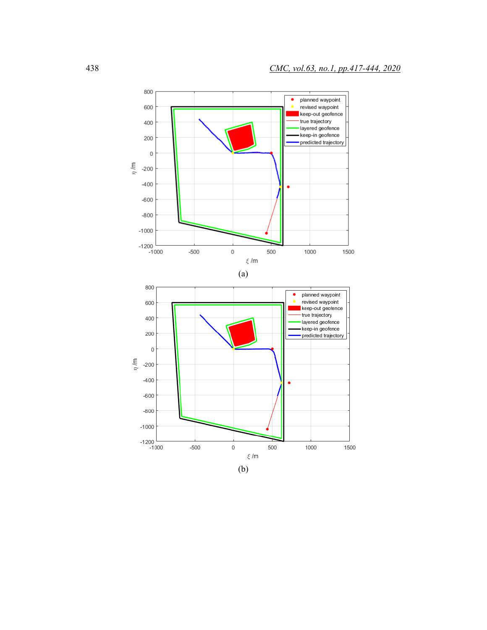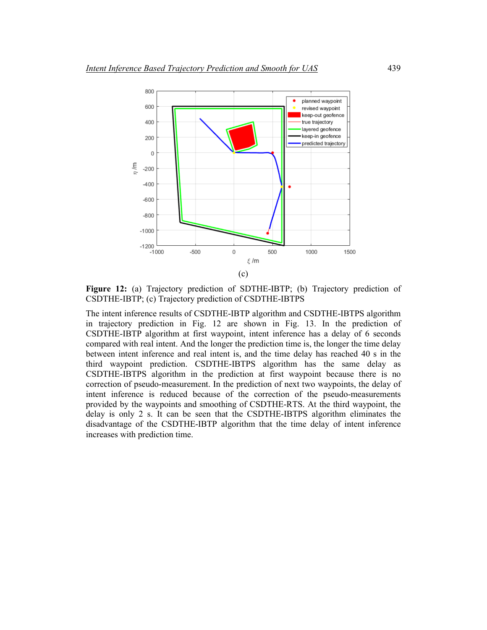

**Figure 12:** (a) Trajectory prediction of SDTHE-IBTP; (b) Trajectory prediction of CSDTHE-IBTP; (c) Trajectory prediction of CSDTHE-IBTPS

The intent inference results of CSDTHE-IBTP algorithm and CSDTHE-IBTPS algorithm in trajectory prediction in Fig. 12 are shown in Fig. 13. In the prediction of CSDTHE-IBTP algorithm at first waypoint, intent inference has a delay of 6 seconds compared with real intent. And the longer the prediction time is, the longer the time delay between intent inference and real intent is, and the time delay has reached 40 s in the third waypoint prediction. CSDTHE-IBTPS algorithm has the same delay as CSDTHE-IBTPS algorithm in the prediction at first waypoint because there is no correction of pseudo-measurement. In the prediction of next two waypoints, the delay of intent inference is reduced because of the correction of the pseudo-measurements provided by the waypoints and smoothing of CSDTHE-RTS. At the third waypoint, the delay is only 2 s. It can be seen that the CSDTHE-IBTPS algorithm eliminates the disadvantage of the CSDTHE-IBTP algorithm that the time delay of intent inference increases with prediction time.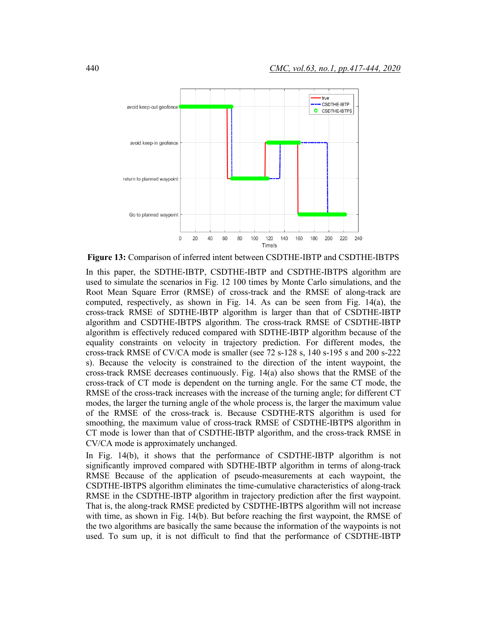

**Figure 13:** Comparison of inferred intent between CSDTHE-IBTP and CSDTHE-IBTPS

In this paper, the SDTHE-IBTP, CSDTHE-IBTP and CSDTHE-IBTPS algorithm are used to simulate the scenarios in Fig. 12 100 times by Monte Carlo simulations, and the Root Mean Square Error (RMSE) of cross-track and the RMSE of along-track are computed, respectively, as shown in Fig. 14. As can be seen from Fig. 14(a), the cross-track RMSE of SDTHE-IBTP algorithm is larger than that of CSDTHE-IBTP algorithm and CSDTHE-IBTPS algorithm. The cross-track RMSE of CSDTHE-IBTP algorithm is effectively reduced compared with SDTHE-IBTP algorithm because of the equality constraints on velocity in trajectory prediction. For different modes, the cross-track RMSE of CV/CA mode is smaller (see 72 s-128 s, 140 s-195 s and 200 s-222 s). Because the velocity is constrained to the direction of the intent waypoint, the cross-track RMSE decreases continuously. Fig. 14(a) also shows that the RMSE of the cross-track of CT mode is dependent on the turning angle. For the same CT mode, the RMSE of the cross-track increases with the increase of the turning angle; for different CT modes, the larger the turning angle of the whole process is, the larger the maximum value of the RMSE of the cross-track is. Because CSDTHE-RTS algorithm is used for smoothing, the maximum value of cross-track RMSE of CSDTHE-IBTPS algorithm in CT mode is lower than that of CSDTHE-IBTP algorithm, and the cross-track RMSE in CV/CA mode is approximately unchanged.

In Fig. 14(b), it shows that the performance of CSDTHE-IBTP algorithm is not significantly improved compared with SDTHE-IBTP algorithm in terms of along-track RMSE Because of the application of pseudo-measurements at each waypoint, the CSDTHE-IBTPS algorithm eliminates the time-cumulative characteristics of along-track RMSE in the CSDTHE-IBTP algorithm in trajectory prediction after the first waypoint. That is, the along-track RMSE predicted by CSDTHE-IBTPS algorithm will not increase with time, as shown in Fig. 14(b). But before reaching the first waypoint, the RMSE of the two algorithms are basically the same because the information of the waypoints is not used. To sum up, it is not difficult to find that the performance of CSDTHE-IBTP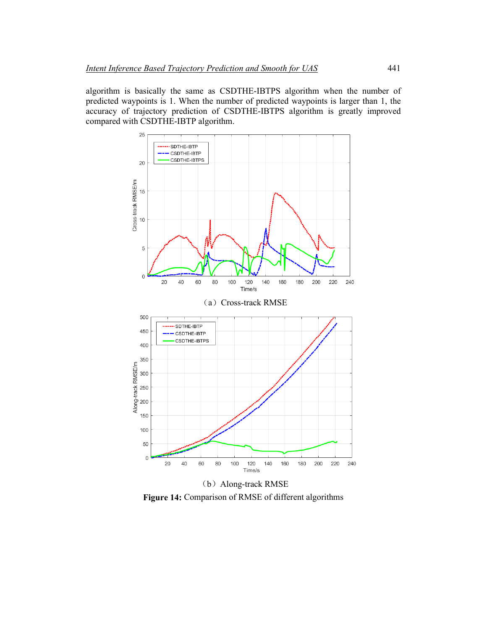algorithm is basically the same as CSDTHE-IBTPS algorithm when the number of predicted waypoints is 1. When the number of predicted waypoints is larger than 1, the accuracy of trajectory prediction of CSDTHE-IBTPS algorithm is greatly improved compared with CSDTHE-IBTP algorithm.



(b) Along-track RMSE **Figure 14:** Comparison of RMSE of different algorithms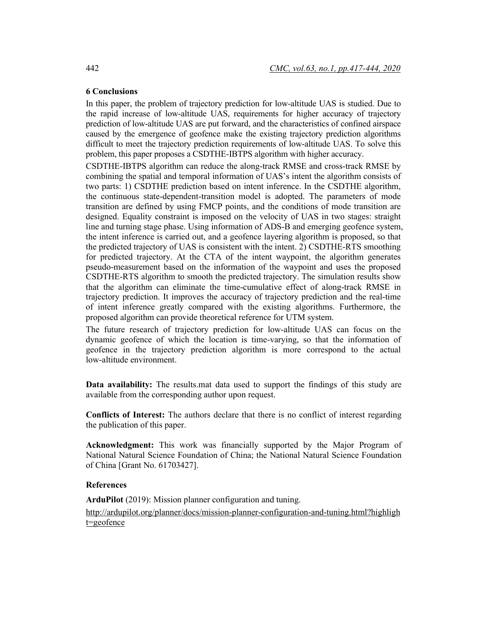# **6 Conclusions**

In this paper, the problem of trajectory prediction for low-altitude UAS is studied. Due to the rapid increase of low-altitude UAS, requirements for higher accuracy of trajectory prediction of low-altitude UAS are put forward, and the characteristics of confined airspace caused by the emergence of geofence make the existing trajectory prediction algorithms difficult to meet the trajectory prediction requirements of low-altitude UAS. To solve this problem, this paper proposes a CSDTHE-IBTPS algorithm with higher accuracy.

CSDTHE-IBTPS algorithm can reduce the along-track RMSE and cross-track RMSE by combining the spatial and temporal information of UAS's intent the algorithm consists of two parts: 1) CSDTHE prediction based on intent inference. In the CSDTHE algorithm, the continuous state-dependent-transition model is adopted. The parameters of mode transition are defined by using FMCP points, and the conditions of mode transition are designed. Equality constraint is imposed on the velocity of UAS in two stages: straight line and turning stage phase. Using information of ADS-B and emerging geofence system, the intent inference is carried out, and a geofence layering algorithm is proposed, so that the predicted trajectory of UAS is consistent with the intent. 2) CSDTHE-RTS smoothing for predicted trajectory. At the CTA of the intent waypoint, the algorithm generates pseudo-measurement based on the information of the waypoint and uses the proposed CSDTHE-RTS algorithm to smooth the predicted trajectory. The simulation results show that the algorithm can eliminate the time-cumulative effect of along-track RMSE in trajectory prediction. It improves the accuracy of trajectory prediction and the real-time of intent inference greatly compared with the existing algorithms. Furthermore, the proposed algorithm can provide theoretical reference for UTM system.

The future research of trajectory prediction for low-altitude UAS can focus on the dynamic geofence of which the location is time-varying, so that the information of geofence in the trajectory prediction algorithm is more correspond to the actual low-altitude environment.

**Data availability:** The results.mat data used to support the findings of this study are available from the corresponding author upon request.

**Conflicts of Interest:** The authors declare that there is no conflict of interest regarding the publication of this paper.

**Acknowledgment:** This work was financially supported by the Major Program of National Natural Science Foundation of China; the National Natural Science Foundation of China [Grant No. 61703427].

# **References**

**ArduPilot** (2019): Mission planner configuration and tuning.

http://ardupilot.org/planner/docs/mission-planner-configuration-and-tuning.html?highligh t=geofence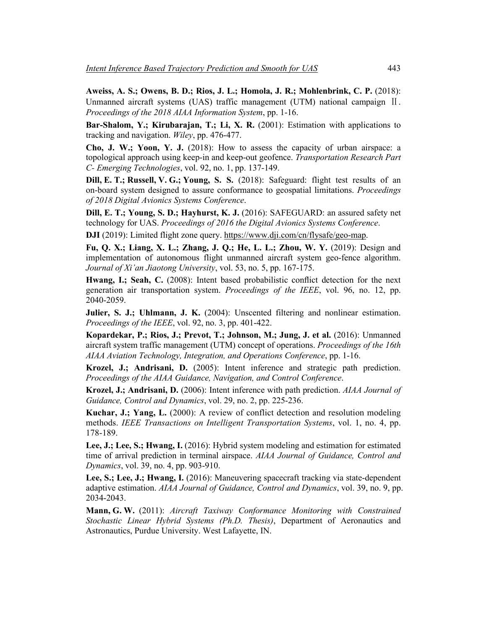Aweiss, A. S.; Owens, B. D.; Rios, J. L.; Homola, J. R.; Mohlenbrink, C. P. (2018): Unmanned aircraft systems (UAS) traffic management (UTM) national campaign  $\text{II}$ . *Proceedings of the 2018 AIAA Information System*, pp. 1-16.

**Bar-Shalom, Y.; Kirubarajan, T.; Li, X. R.** (2001): Estimation with applications to tracking and navigation. *Wiley*, pp. 476-477.

**Cho, J. W.; Yoon, Y. J.** (2018): How to assess the capacity of urban airspace: a topological approach using keep-in and keep-out geofence. *Transportation Research Part C- Emerging Technologies*, vol. 92, no. 1, pp. 137-149.

**Dill, E. T.; Russell, V. G.; Young, S. S.** (2018): Safeguard: flight test results of an on-board system designed to assure conformance to geospatial limitations. *Proceedings of 2018 Digital Avionics Systems Conference*.

**Dill, E. T.; Young, S. D.; Hayhurst, K. J.** (2016): SAFEGUARD: an assured safety net technology for UAS. *Proceedings of 2016 the Digital Avionics Systems Conference*.

**DJI** (2019): Limited flight zone query. https://www.dii.com/cn/flysafe/geo-map.

**Fu, Q. X.; Liang, X. L.; Zhang, J. Q.; He, L. L.; Zhou, W. Y.** (2019): Design and implementation of autonomous flight unmanned aircraft system geo-fence algorithm. *Journal of Xi'an Jiaotong University*, vol. 53, no. 5, pp. 167-175.

**Hwang, I.; Seah, C.** (2008): Intent based probabilistic conflict detection for the next generation air transportation system. *Proceedings of the IEEE*, vol. 96, no. 12, pp. 2040-2059.

**Julier, S. J.; Uhlmann, J. K.** (2004): Unscented filtering and nonlinear estimation. *Proceedings of the IEEE*, vol. 92, no. 3, pp. 401-422.

**Kopardekar, P.; Rios, J.; Prevot, T.; Johnson, M.; Jung, J. et al.** (2016): Unmanned aircraft system traffic management (UTM) concept of operations. *Proceedings of the 16th AIAA Aviation Technology, Integration, and Operations Conference*, pp. 1-16.

**Krozel, J.; Andrisani, D.** (2005): Intent inference and strategic path prediction. *Proceedings of the AIAA Guidance, Navigation, and Control Conference*.

**Krozel, J.; Andrisani, D.** (2006): Intent inference with path prediction. *AIAA Journal of Guidance, Control and Dynamics*, vol. 29, no. 2, pp. 225-236.

**Kuchar, J.; Yang, L.** (2000): A review of conflict detection and resolution modeling methods. *IEEE Transactions on Intelligent Transportation Systems*, vol. 1, no. 4, pp. 178-189.

**Lee, J.; Lee, S.; Hwang, I.** (2016): Hybrid system modeling and estimation for estimated time of arrival prediction in terminal airspace. *AIAA Journal of Guidance, Control and Dynamics*, vol. 39, no. 4, pp. 903-910.

**Lee, S.; Lee, J.; Hwang, I.** (2016): Maneuvering spacecraft tracking via state-dependent adaptive estimation. *AIAA Journal of Guidance, Control and Dynamics*, vol. 39, no. 9, pp. 2034-2043.

**Mann, G. W.** (2011): *Aircraft Taxiway Conformance Monitoring with Constrained Stochastic Linear Hybrid Systems (Ph.D. Thesis)*, Department of Aeronautics and Astronautics, Purdue University. West Lafayette, IN.